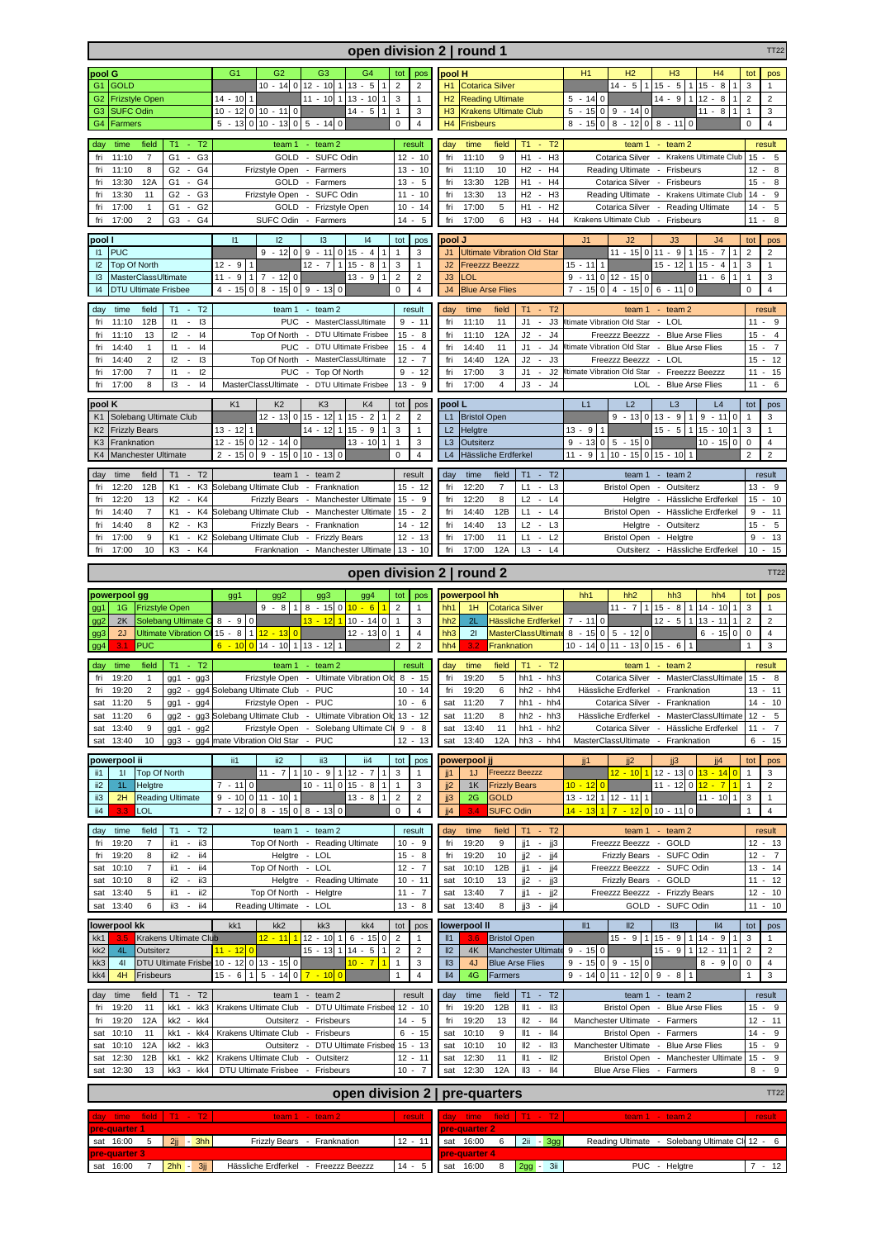|                                                                                                                                         | open division 2   round 1<br><b>TT22</b>                                                                                  |                                                                                              |                                                               |                                                                                                             |                                                                                                  |                                                                   |  |  |  |  |  |  |
|-----------------------------------------------------------------------------------------------------------------------------------------|---------------------------------------------------------------------------------------------------------------------------|----------------------------------------------------------------------------------------------|---------------------------------------------------------------|-------------------------------------------------------------------------------------------------------------|--------------------------------------------------------------------------------------------------|-------------------------------------------------------------------|--|--|--|--|--|--|
| pool G                                                                                                                                  | G2<br>G <sub>1</sub>                                                                                                      | G <sub>4</sub><br>G <sub>3</sub>                                                             | pool H                                                        | H1<br>H <sub>2</sub><br>H <sub>3</sub><br>H <sub>4</sub>                                                    | tot<br>pos                                                                                       |                                                                   |  |  |  |  |  |  |
| G1 GOLD                                                                                                                                 | $10 - 14$ 0 12 - 10                                                                                                       | $13 - 5$                                                                                     | $\overline{2}$<br>$\overline{2}$                              | H1<br><b>Cotarica Silver</b>                                                                                | $14 - 5$   1 <br>$15 - 5$<br>$115 - 8$                                                           | 3<br>$\mathbf{1}$                                                 |  |  |  |  |  |  |
| G <sub>2</sub><br><b>Frizstyle Open</b>                                                                                                 | $14 - 1011$                                                                                                               | $11 - 1011$<br>$13 - 10$<br>$\mathbf{1}$                                                     | 3<br>$\mathbf{1}$                                             | H2<br><b>Reading Ultimate</b>                                                                               | $14 - 9$<br>$5 - 140$<br>$112 - 8$                                                               | 2<br>$\overline{2}$                                               |  |  |  |  |  |  |
| <b>SUFC Odin</b><br>G <sub>3</sub><br>G <sub>4</sub><br>Farmers                                                                         | $10 - 12$ 0 $10 - 11$ 0<br>$5 - 13 \begin{bmatrix} 0 & 10 & -13 & 0 & 5 & -14 & 0 \end{bmatrix}$                          | $14 - 5$                                                                                     | $\mathbf{1}$<br>3<br>$\mathbf 0$<br>$\overline{4}$            | H <sub>3</sub><br><b>Krakens Ultimate Club</b><br>H4<br><b>Frisbeurs</b>                                    | $-15$ 0 9 - 14 0<br>$11 - 8$<br>5<br>$0 \times 8 - 11$<br>$-15$ 0 8 - 12<br>$\overline{0}$<br>8  | $\mathbf{1}$<br>3<br>$\mathbf 0$<br>$\overline{4}$                |  |  |  |  |  |  |
|                                                                                                                                         |                                                                                                                           |                                                                                              |                                                               |                                                                                                             |                                                                                                  |                                                                   |  |  |  |  |  |  |
| time<br>field<br>$T1 - T2$<br>day                                                                                                       |                                                                                                                           | team $1 - \text{team 2}$                                                                     | result                                                        | time<br>T1<br>$- T2$<br>day<br>field                                                                        | team 1<br>$-$ team $2$                                                                           | result                                                            |  |  |  |  |  |  |
| 11:10<br>G <sub>1</sub><br>G <sub>3</sub><br>fri<br>$\overline{7}$<br>$\blacksquare$<br>11:10<br>G <sub>2</sub><br>G4<br>fri<br>8<br>÷. | Frizstyle Open - Farmers                                                                                                  | GOLD - SUFC Odin                                                                             | $12 - 10$<br>$13 - 10$                                        | 11:10<br>H1<br>$-H3$<br>fri<br>9<br>fri<br>11:10<br>10<br>H <sub>2</sub><br>$-H4$                           | Cotarica Silver - Krakens Ultimate Club<br>Reading Ultimate<br>- Frisbeurs                       | $15 -$<br>5<br>$12 -$<br>8                                        |  |  |  |  |  |  |
| 12A<br>G <sub>4</sub><br>13:30<br>G1<br>$\sim$<br>fri                                                                                   |                                                                                                                           | GOLD - Farmers                                                                               | $13 - 5$                                                      | 13:30<br>12B<br>H1<br>$-H4$<br>fri                                                                          | Cotarica Silver - Frisbeurs                                                                      | 15<br>8                                                           |  |  |  |  |  |  |
| G <sub>2</sub><br>fri<br>13:30<br>11<br>G3<br>÷.                                                                                        | Frizstyle Open - SUFC Odin                                                                                                |                                                                                              | $11 - 10$                                                     | 13:30<br>H2<br>$-H3$<br>fri<br>13                                                                           | <b>Reading Ultimate</b><br>- Krakens Ultimate Club                                               | $14 -$<br>$\boldsymbol{9}$                                        |  |  |  |  |  |  |
| G <sub>1</sub><br>17:00<br>$\mathbf{1}$<br>G <sub>2</sub><br>fri                                                                        |                                                                                                                           | GOLD - Frizstyle Open                                                                        | $10 - 14$                                                     | 17:00<br>H1<br>H <sub>2</sub><br>fri<br>5<br>$\overline{\phantom{a}}$                                       | Cotarica Silver - Reading Ultimate                                                               | $14 -$<br>5                                                       |  |  |  |  |  |  |
| $\overline{c}$<br>fri<br>17:00<br>G3<br>G <sub>4</sub><br>$\overline{\phantom{a}}$                                                      | SUFC Odin - Farmers                                                                                                       |                                                                                              | 14<br>5<br>$\sim$                                             | 17:00<br>H <sub>3</sub><br>fri<br>6<br>$-H4$                                                                | Krakens Ultimate Club - Frisbeurs                                                                | $11 -$<br>8                                                       |  |  |  |  |  |  |
| pool l                                                                                                                                  | 1<br>12                                                                                                                   | 3<br> 4                                                                                      | tot<br>pos                                                    | pool J                                                                                                      | J2<br>J3<br>J <sub>4</sub><br>J <sub>1</sub>                                                     | tot<br>pos                                                        |  |  |  |  |  |  |
| <b>PUC</b><br> 1                                                                                                                        | $9 - 1200$                                                                                                                | $9 - 110$<br>$15 - 4$                                                                        | $\mathbf{1}$<br>3                                             | J <sub>1</sub><br><b>Ultimate Vibration Old Star</b>                                                        | $11 - 15011 - 9$<br>$115 - 7$                                                                    | $\overline{2}$<br>$\overline{2}$                                  |  |  |  |  |  |  |
| Top Of North<br>12<br> 3<br>MasterClassUltimate                                                                                         | $12 - 9$<br>$\mathbf{1}$<br>$12 - 7$<br>$15 - 8$<br>1<br>$\mathbf{1}$<br>$11 - 9$<br>$1 \, 7 \, - \, 12 \, 0$<br>$13 - 9$ |                                                                                              | 3<br>$\mathbf{1}$<br>$\overline{2}$<br>$\overline{2}$         | J2<br><b>Freezzz Beezzz</b><br>J3<br><b>LOL</b>                                                             | $15 - 11$ 1<br>$15 - 12$ 1 $15 - 4$<br>$9 - 11$ 0 12 - 15 0<br>$11 - 6$   1                      | 3<br>1<br>$\mathbf{1}$<br>3                                       |  |  |  |  |  |  |
| 4<br><b>DTU Ultimate Frisbee</b>                                                                                                        | $4 - 15$<br>$0 \mid 8 - 15 \mid 0 \mid 9 - 13$                                                                            | 0                                                                                            | $\mathbf 0$<br>$\overline{4}$                                 | <b>Blue Arse Flies</b><br>J <sub>4</sub>                                                                    | $7 - 150$<br>$4 - 150$<br>$6 - 11$<br>$\mathbf 0$                                                | $\mathbf 0$<br>$\overline{4}$                                     |  |  |  |  |  |  |
|                                                                                                                                         |                                                                                                                           |                                                                                              |                                                               |                                                                                                             |                                                                                                  |                                                                   |  |  |  |  |  |  |
| day<br>time<br>field<br>$T1 - T2$<br>11:10<br>12B<br>$\mathsf{I}3$<br>fri<br>11<br>$\overline{\phantom{a}}$                             |                                                                                                                           | team $1 - \text{team 2}$<br>PUC - MasterClassUltimate                                        | result<br>$9 - 11$                                            | time<br>field<br>$T1 - T2$<br>day<br>11:10<br>J1<br>J3<br>fri<br>11<br>$\sim$                               | team $1 - \text{team 2}$<br>Itimate Vibration Old Star - LOL                                     | result<br>9<br>$11 -$                                             |  |  |  |  |  |  |
| 11:10<br>13<br>12<br>$\blacksquare$<br> 4<br>fri                                                                                        |                                                                                                                           | Top Of North - DTU Ultimate Frisbee                                                          | $15 - 8$                                                      | 11:10<br>12A<br>J2<br>J <sub>4</sub><br>fri<br>$\sim$                                                       | Freezzz Beezzz - Blue Arse Flies                                                                 | 15<br>$\overline{4}$                                              |  |  |  |  |  |  |
| 4<br>fri<br>14:40<br>$\vert$ 1<br>$\omega$<br>1                                                                                         |                                                                                                                           | PUC - DTU Ultimate Frisbee                                                                   | $15 -$<br>$\overline{4}$                                      | 14:40<br>$J1 - J4$<br>fri<br>11                                                                             | Itimate Vibration Old Star -<br><b>Blue Arse Flies</b>                                           | $15 -$<br>$\overline{7}$                                          |  |  |  |  |  |  |
| $\overline{c}$<br>12<br>13<br>14:40<br>fri<br>÷                                                                                         |                                                                                                                           | Top Of North - MasterClassUltimate                                                           | 12<br>$\overline{7}$<br>$\blacksquare$                        | J2<br>J3<br>fri<br>14:40<br>12A<br>$\mathcal{L}_{\mathcal{A}}$                                              | - LOL<br>Freezzz Beezzz                                                                          | 15<br>12<br>$\overline{\phantom{a}}$                              |  |  |  |  |  |  |
| 17:00<br>$\overline{7}$<br>12<br>fri<br>$\vert$ 1<br>$\omega$<br>8<br>13<br>fri<br>17:00<br> 4<br>$\overline{\phantom{a}}$              | <b>PUC</b><br>MasterClassUltimate                                                                                         | - Top Of North<br>- DTU Ultimate Frisbee                                                     | 9<br>$-12$<br>$13 -$<br>9                                     | fri<br>17:00<br>3<br>J1<br>J2<br>$\sim$<br>fri<br>17:00<br>J3<br>$\overline{4}$<br>J <sub>4</sub><br>$\sim$ | Itimate Vibration Old Star<br>- Freezzz Beezzz<br><b>LOL</b><br><b>Blue Arse Flies</b><br>$\sim$ | 11<br>15<br>$\sim$<br>6<br>11<br>$\sim$                           |  |  |  |  |  |  |
|                                                                                                                                         |                                                                                                                           |                                                                                              |                                                               |                                                                                                             |                                                                                                  |                                                                   |  |  |  |  |  |  |
| pool K<br>Solebang Ultimate Club                                                                                                        | K1<br>K <sub>2</sub><br>$12 - 13$ 0 $15 - 12$                                                                             | K <sub>3</sub><br>K <sub>4</sub><br>$15 - 2$                                                 | tot<br>pos<br>$\overline{2}$                                  | pool L                                                                                                      | L2<br>L3<br>L1<br>L4<br>$1 \t9 - 11 \t0$                                                         | tot<br>pos<br>$\overline{1}$                                      |  |  |  |  |  |  |
| K <sub>1</sub><br>K <sub>2</sub><br><b>Frizzly Bears</b>                                                                                | $13 - 12$<br>$\mathbf{1}$                                                                                                 | $14 - 12$<br>$15 - 9$<br>$\mathbf{1}$                                                        | $\overline{2}$<br>3<br>$\mathbf{1}$                           | L1<br><b>Bristol Open</b><br>L2<br>Helgtre                                                                  | $9 - 13$ 0 13 - 9<br>$15 - 5$<br>$13 - 9$ 1<br>$115 - 10$                                        | 3<br>3<br>$\mathbf{1}$                                            |  |  |  |  |  |  |
| K <sub>3</sub><br>Franknation                                                                                                           | $12 - 15$ 0 $12 - 14$ 0                                                                                                   | $13 - 10$<br>$\mathbf{1}$                                                                    | $\mathbf{1}$<br>3                                             | L3<br>Outsiterz                                                                                             | 9<br>$-13$ 0 5 - 15 0<br>$10 - 150$                                                              | $\mathbf 0$<br>$\overline{4}$                                     |  |  |  |  |  |  |
| Manchester Ultimate<br>K <sub>4</sub>                                                                                                   | $0 \mid 9 - 15 \mid 0 \mid 10 - 13 \mid 0$<br>$2 - 15$                                                                    |                                                                                              | $\mathbf 0$<br>$\overline{4}$                                 | L4<br>Hässliche Erdferkel                                                                                   | 11 - 9 1 10 - 15 0 15 - 10 1                                                                     | $\overline{2}$<br>$\overline{2}$                                  |  |  |  |  |  |  |
| $T1 - T2$<br>day<br>time<br>field                                                                                                       |                                                                                                                           | team $1 - \text{team 2}$                                                                     | result                                                        | $T1 - T2$<br>day<br>time<br>field                                                                           | team $1 - \text{team 2}$                                                                         | result                                                            |  |  |  |  |  |  |
| K <sub>3</sub><br>12:20<br>12B<br>K1<br>fri<br>$\overline{\phantom{a}}$                                                                 | Solebang Ultimate Club - Franknation                                                                                      |                                                                                              | $15 - 12$                                                     | 12:20<br>fri<br>$\overline{7}$<br>L1<br>$-L3$                                                               | Bristol Open - Outsiterz                                                                         | $13 -$<br>9                                                       |  |  |  |  |  |  |
| K <sub>2</sub><br>K4<br>12:20<br>13<br>$\sim$<br>fri                                                                                    |                                                                                                                           | Frizzly Bears - Manchester Ultimate                                                          | $15 - 9$                                                      | 12:20<br>L2<br>$-L4$<br>fri<br>8                                                                            | Helgtre - Hässliche Erdferkel                                                                    | $15 -$<br>10                                                      |  |  |  |  |  |  |
| 14:40<br>$\overline{7}$<br>K <sub>1</sub><br>- K4<br>fri<br>$\mathcal{L}$                                                               | Solebang Ultimate Club - Manchester Ultimate                                                                              |                                                                                              | $15 - 2$                                                      | fri<br>14:40<br>12B<br>L1<br>$-L4$<br>L2                                                                    | Bristol Open - Hässliche Erdferkel                                                               | 9<br>11                                                           |  |  |  |  |  |  |
| K <sub>2</sub><br>K <sub>3</sub><br>14:40<br>8<br>fri<br>17:00<br>9<br>K1<br>$\blacksquare$<br>K <sub>2</sub><br>fri                    | Solebang Ultimate Club - Frizzly Bears                                                                                    | Frizzly Bears - Franknation                                                                  | $14 - 12$<br>12<br>$-13$                                      | 14:40<br>13<br>L <sub>3</sub><br>fri<br>$\sim$<br>17:00<br>$-L2$<br>fri<br>11<br>L1                         | Helgtre -<br>Outsiterz<br>Bristol Open - Helgtre                                                 | $15 -$<br>$\,$ 5<br>13<br>9<br>$\sim$                             |  |  |  |  |  |  |
| fri<br>17:00<br>10<br>K <sub>3</sub><br>K4<br>÷                                                                                         |                                                                                                                           | Franknation - Manchester Ultimate                                                            | $13 - 10$                                                     | fri<br>17:00<br>12A<br>L <sub>3</sub><br>$-L4$                                                              | Outsiterz - Hässliche Erdferkel                                                                  | $10 - 15$                                                         |  |  |  |  |  |  |
|                                                                                                                                         |                                                                                                                           |                                                                                              |                                                               |                                                                                                             |                                                                                                  |                                                                   |  |  |  |  |  |  |
|                                                                                                                                         |                                                                                                                           |                                                                                              |                                                               | open division 2   round 2                                                                                   |                                                                                                  | <b>TT22</b>                                                       |  |  |  |  |  |  |
| powerpool gg                                                                                                                            | gg <sub>2</sub><br>gg1                                                                                                    | gg3<br>gg4                                                                                   | tot<br>pos                                                    | powerpool hh                                                                                                | hh <sub>1</sub><br>h <sub>h</sub> 2<br>hh <sub>3</sub><br>hh <sub>4</sub>                        | tot<br>pos                                                        |  |  |  |  |  |  |
| <b>Frizstyle Open</b><br>1G<br>gg1<br>2K<br>Solebang Ultimate C                                                                         | $8 - 90$                                                                                                                  | $9 - 8$ 1 8 - 15 0 10 - 6<br>$\overline{1}$<br><mark>13 - 12 1</mark> 10 - 14<br>$\mathbf 0$ | $\overline{2}$<br>$\mathbf{1}$<br>$\mathsf 3$<br>$\mathbf{1}$ | hh1<br>1H<br><b>Cotarica Silver</b><br>hh <sub>2</sub><br>2L<br>Hässliche Erdferkel                         | $11 - 7$   1  15 - 8  1  14 - 10 <br>1<br>$12 - 5$<br>$7 - 110$<br>$113 - 11$                    | 3<br>$\mathbf{1}$<br>$\overline{2}$<br>$\overline{c}$             |  |  |  |  |  |  |
| gg2<br>2J<br>gg3                                                                                                                        | Ultimate Vibration Ol 15 - 8   1 $\frac{12 - 13}{0}$                                                                      | $12 - 13$<br>$\mathbf 0$                                                                     | $\mathbf{1}$<br>$\overline{4}$                                | hh <sub>3</sub><br>21<br><b>MasterClassUltimate</b>                                                         | $8 - 15 \begin{vmatrix} 0 & 5 & -12 \end{vmatrix}$ 0<br>$6 - 150$                                | $\mathbf 0$<br>$\overline{4}$                                     |  |  |  |  |  |  |
| <b>PUC</b><br>3.1<br>gg <sub>4</sub>                                                                                                    | $6 - 100114 - 101113 - 1211$                                                                                              |                                                                                              | $\overline{2}$<br>$\sqrt{2}$                                  | hh4<br>3.2<br>Franknation                                                                                   | $10 - 14$ 0 11 - 13 0 15 - 6 1                                                                   | 3<br>$\mathbf{1}$                                                 |  |  |  |  |  |  |
| day<br>time<br>field<br>$T1 - T2$                                                                                                       |                                                                                                                           | team $1 - \text{team 2}$                                                                     | result                                                        | $T1 - T2$<br>day<br>time<br>field                                                                           | team $1 - \text{team 2}$                                                                         | result                                                            |  |  |  |  |  |  |
| 19:20<br>$gg1 - gg3$<br>fri<br>$\mathbf{1}$                                                                                             |                                                                                                                           | Frizstyle Open - Ultimate Vibration Old                                                      | $8 - 15$                                                      | 5<br>$hh1 - hh3$<br>fri<br>19:20                                                                            | Cotarica Silver - MasterClassUltimate                                                            | $15 -$<br>8                                                       |  |  |  |  |  |  |
| $\overline{\mathbf{c}}$<br>19:20<br>fri                                                                                                 | gg2 - gg4 Solebang Ultimate Club - PUC                                                                                    |                                                                                              | $10 - 14$                                                     | fri<br>19:20<br>6<br>$hh2 - hh4$                                                                            | Hässliche Erdferkel - Franknation                                                                | $13 - 11$                                                         |  |  |  |  |  |  |
| 11:20<br>5<br>$-$ gg4<br>gg1<br>sat                                                                                                     | Frizstyle Open -                                                                                                          | <b>PUC</b>                                                                                   | 10<br>6                                                       | 11:20<br>$\overline{7}$<br>hh1<br>hh4<br>sat                                                                |                                                                                                  |                                                                   |  |  |  |  |  |  |
|                                                                                                                                         |                                                                                                                           |                                                                                              |                                                               |                                                                                                             | Cotarica Silver -<br>Franknation                                                                 | $10$<br>14                                                        |  |  |  |  |  |  |
| sat 11:20<br>6                                                                                                                          | gg2 - gg3 Solebang Ultimate Club - Ultimate Vibration Old 13 - 12                                                         |                                                                                              |                                                               | $hh2 - hh3$<br>11:20<br>8<br>sat                                                                            | Hässliche Erdferkel - MasterClassUltimate                                                        | $12 - 5$                                                          |  |  |  |  |  |  |
| sat 13:40<br>9<br>$gg1 - gg2$<br>sat 13:40<br>10                                                                                        | gg3 - gg4 mate Vibration Old Star - PUC                                                                                   | Frizstyle Open - Solebang Ultimate CI                                                        | $9 - 8$<br>$12 - 13$                                          | $hh1 - hh2$<br>13:40<br>11<br>sat<br>13:40<br>12A<br>$hh3 - hh4$<br>sat                                     | Cotarica Silver - Hässliche Erdferkel<br>MasterClassUltimate - Franknation                       | $11 - 7$<br>$6 - 15$                                              |  |  |  |  |  |  |
|                                                                                                                                         |                                                                                                                           |                                                                                              |                                                               |                                                                                                             |                                                                                                  |                                                                   |  |  |  |  |  |  |
| powerpool ii<br>11 Top Of North<br>ii1                                                                                                  | ii2<br>ii1                                                                                                                | ii3<br>ii4<br>$11 - 7$ 1 10 - 9 1 12 - 7<br>$\mathbf{1}$                                     | tot<br>pos<br>3<br>$\mathbf{1}$                               | powerpool jj<br><b>Freezzz Beezzz</b><br>jj1<br>1J                                                          | jj4<br>jj1<br>jj2<br>jj3<br>12 - 10 1 12 - 13 0 13 - 14 0                                        | tot pos<br>3<br>$\overline{1}$                                    |  |  |  |  |  |  |
| 1L<br>Helgtre<br>ii <sub>2</sub>                                                                                                        | $7 - 110$                                                                                                                 | $10 - 11$ 0 15 - 8<br>$\mathbf{1}$                                                           | $\mathbf{1}$<br>3                                             | j2<br>1K<br><b>Frizzly Bears</b>                                                                            | 11 - 12 0 <mark>12 - 7 1</mark><br>10 - 12 0 I                                                   | $\overline{1}$<br>$\overline{2}$                                  |  |  |  |  |  |  |
| 2H Reading Ultimate<br>ii3                                                                                                              | $9 - 10$ 0 11 - 10 1                                                                                                      | $13 - 8$ 1                                                                                   | $\overline{2}$<br>$\overline{2}$                              | <b>GOLD</b><br>jj3<br>2G                                                                                    | 13 - 12 1 12 - 11 1<br>$11 - 1011$                                                               | 3<br>$\mathbf{1}$                                                 |  |  |  |  |  |  |
| ii4<br>LOL<br>3.3                                                                                                                       |                                                                                                                           |                                                                                              | $\mathbf 0$<br>4                                              | <b>SUFC Odin</b><br>jj4<br>3.4                                                                              | <mark>14 - 13 1 7 - 12 0</mark> 10 - 11 0                                                        | $\overline{4}$<br>1                                               |  |  |  |  |  |  |
| day time<br>$T1 - T2$<br>field                                                                                                          |                                                                                                                           | team $1 - \text{team } 2$                                                                    | result                                                        | $T1 - T2$<br>day<br>time<br>field                                                                           | team $1 - \text{team 2}$                                                                         | result                                                            |  |  |  |  |  |  |
| fri<br>19:20<br>$\overline{7}$<br>$ii1 - ii3$                                                                                           |                                                                                                                           | Top Of North - Reading Ultimate                                                              | $10 - 9$                                                      | $ii1 - ji3$<br>fri<br>19:20<br>9                                                                            | Freezzz Beezzz - GOLD                                                                            | $12 - 13$                                                         |  |  |  |  |  |  |
| 19:20<br>ii2 - ii4<br>8<br>fri<br>$ii1 - ii4$<br>sat 10:10<br>$\overline{7}$                                                            | Helgtre - LOL<br>Top Of North - LOL                                                                                       |                                                                                              | $15 - 8$<br>$12 - 7$                                          | 19:20<br>fri<br>jj2 - jj4<br>10<br>jj1 - jj4<br>10:10<br>12B<br>sat                                         | Frizzly Bears - SUFC Odin<br>Freezzz Beezzz - SUFC Odin                                          | $12 - 7$<br>$13 - 14$                                             |  |  |  |  |  |  |
| $-$ ii3<br>sat 10:10<br>8<br>ii2                                                                                                        |                                                                                                                           | Helgtre - Reading Ultimate                                                                   | $10 - 11$                                                     | 10:10<br>13<br>jj2 - jj3<br>sat                                                                             | Frizzly Bears - GOLD                                                                             | $11 - 12$                                                         |  |  |  |  |  |  |
| sat 13:40<br>5<br>ii1<br>$-$ ii2                                                                                                        | Top Of North - Helgtre                                                                                                    |                                                                                              | $11 - 7$                                                      | $\overline{7}$<br>$ii1 - ii2$<br>13:40<br>sat                                                               | Freezzz Beezzz - Frizzly Bears                                                                   | $12 - 10$                                                         |  |  |  |  |  |  |
| sat 13:40<br>6<br>ii3<br>- ii4                                                                                                          | Reading Ultimate - LOL                                                                                                    |                                                                                              | $13 - 8$                                                      | 13:40<br>8<br>$ji3 - ji4$<br>sat                                                                            | GOLD - SUFC Odin                                                                                 | $11 - 10$                                                         |  |  |  |  |  |  |
| lowerpool kk                                                                                                                            | kk1<br>kk2                                                                                                                | kk3<br>kk4                                                                                   | tot<br>pos                                                    | lowerpool II                                                                                                | II1<br>  2<br>II3<br>II4                                                                         | $\frac{1}{2}$ tot $\frac{1}{2}$ pos                               |  |  |  |  |  |  |
| kk1<br>Krakens Ultimate Club                                                                                                            |                                                                                                                           | $12 - 11$ 1 12 - 10 1 6 - 15                                                                 | $\overline{2}$<br>$\mathbf{1}$                                | II1<br><b>Bristol Open</b>                                                                                  | $15 - 9$   1 <br>$15 - 9$ 1 14 - 9                                                               | 3<br>$\mathbf{1}$                                                 |  |  |  |  |  |  |
| kk2<br>4L<br>Outsiterz<br>kk3<br>4 <sub>l</sub>                                                                                         | $11 - 12$ 0                                                                                                               | $15 - 13$ 1 14 - 5<br>$\mathbf{1}$<br>$10 - 7$ 1                                             | $\overline{2}$<br>$\overline{2}$<br>$\mathbf{1}$<br>3         | II2<br>4K<br><b>Manchester Ultimate</b><br>$\parallel 3$<br>4J<br><b>Blue Arse Flies</b>                    | $9 - 15$ 0<br>$15 - 9$ 1 12 - 11<br>$\mathbf{1}$<br>$8 - 9$<br>$\,0\,$                           | $\overline{2}$<br>$\overline{2}$<br>$\mathbf 0$<br>$\overline{4}$ |  |  |  |  |  |  |
| 4H<br>kk4<br>Frisbeurs                                                                                                                  | DTU Ultimate Frisbe 10 - 12 0 13 - 15 0<br>$15 - 6$ 1 5 - 14 0 $\overline{7}$ - 10 0                                      |                                                                                              | $\mathbf{1}$<br>4                                             | II4<br>4G<br>Farmers                                                                                        | $9 - 15$ 0 9 - 15 0<br>$9 - 14$ 0 11 - 12 0<br>$9 - 811$                                         | 3                                                                 |  |  |  |  |  |  |
| $T1 - T2$<br>field                                                                                                                      |                                                                                                                           | team $1 - \tan 2$                                                                            | result                                                        |                                                                                                             | team $1 - \text{team } 2$                                                                        | result                                                            |  |  |  |  |  |  |
| day time<br>fri 19:20<br>11<br>kk1 - kk3                                                                                                |                                                                                                                           | Krakens Ultimate Club - DTU Ultimate Frisbee                                                 | $12 - 10$                                                     | field $T1 - T2$<br>day<br>time<br>19:20<br>$  1 -   3$<br>fri<br>12B                                        | Bristol Open - Blue Arse Flies                                                                   | $15 - 9$                                                          |  |  |  |  |  |  |
| fri 19:20<br>12A<br>kk2 - kk4                                                                                                           |                                                                                                                           | Outsiterz - Frisbeurs                                                                        | $14 - 5$                                                      | $II2 - II4$<br>fri<br>19:20<br>13                                                                           | Manchester Ultimate - Farmers                                                                    | $12 - 11$                                                         |  |  |  |  |  |  |
| sat 10:10<br>11<br>kk1<br>- kk4                                                                                                         | Krakens Ultimate Club - Frisbeurs                                                                                         |                                                                                              | $6 - 15$                                                      | 10:10<br>$  1 -   4$<br>9<br>sat                                                                            | Bristol Open - Farmers                                                                           | $14 - 9$                                                          |  |  |  |  |  |  |
| 12A<br>sat 10:10<br>kk2 -<br>kk3<br>sat 12:30<br>12B<br>kk1<br>- kk2                                                                    | Krakens Ultimate Club - Outsiterz                                                                                         | Outsiterz - DTU Ultimate Frisbee 15 - 13                                                     | $12 - 11$                                                     | 10:10<br>$II2 - II3$<br>sat<br>10<br>$  1 -   2$<br>11<br>sat                                               | Manchester Ultimate<br><b>Blue Arse Flies</b><br>$\sim$                                          | $15 - 9$                                                          |  |  |  |  |  |  |
| sat 12:30<br>13<br>kk3<br>- kk4                                                                                                         | DTU Ultimate Frisbee - Frisbeurs                                                                                          |                                                                                              | $10 - 7$                                                      | 12:30<br>sat 12:30<br>$II3 - II4$<br>12A                                                                    | Bristol Open - Manchester Ultimate<br>Blue Arse Flies - Farmers                                  | $15 - 9$<br>$8 - 9$                                               |  |  |  |  |  |  |
|                                                                                                                                         |                                                                                                                           |                                                                                              |                                                               | open division 2   pre-quarters                                                                              |                                                                                                  | <b>TT22</b>                                                       |  |  |  |  |  |  |

| day time field   $T1 - T2$ |                | team $1 - \tan 2$                     | result    |                        | time field T1 - T2 |  |         |             | team $1 - \text{team } 2$                              | vesult |
|----------------------------|----------------|---------------------------------------|-----------|------------------------|--------------------|--|---------|-------------|--------------------------------------------------------|--------|
| <b>pre-quarter 1</b>       |                |                                       |           | <b>pre-quarter 2</b>   |                    |  |         |             |                                                        |        |
| sat 16:00                  | 3hh<br>2ii     | <b>Frizzly Bears</b><br>Franknation   | $12 - 11$ | sat                    | 16:00              |  |         | $2ii - 3gg$ | Solebang Ultimate CI 12 - 6<br><b>Reading Ultimate</b> |        |
| <b>pre-quarter 3</b>       |                |                                       |           | <b>I</b> pre-quarter 4 |                    |  |         |             |                                                        |        |
| sat 16:00                  | 3ii<br>$2hh -$ | Hässliche Erdferkel<br>Freezzz Beezzz | $14 - 5$  | sat                    | 16:00              |  | $2qq -$ | 3ii         | PUC - Helgtre                                          | 12     |